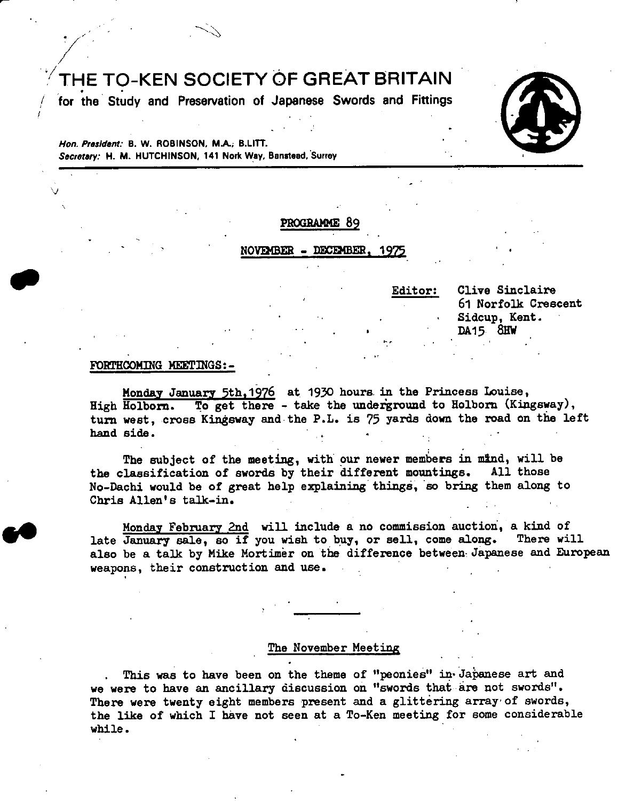7THE TO-KEN SOCIETY OF GREAT BRITAIN

**/ for the Study and Preservation of Japanese Swords and Fittings** 

Hon. President: **B. W. ROBINSON, M.A.; B.LITT. Secretary: H. M. HUTCHINSON, 141 Nork Way, Banslead, Surrey** 

# PROGRAMME 89

### NOVEMBER - DECEMBER, 197

MOVEMBER - DECEMBER, 1972<br>Editor: Clive Sinclaire 61 Norfolk Crescent Sidcup, Kent. DA15 8HW

#### FORTHCOMING MEETINGS: -

**V** 

Monday January 5th, 1976 at 1930 hours in the Princess Louise, High Holborn. To get there - take the underground to Holborn (Kingsway), turn west, cross Kingsway and-the P.L. is 75 yards down the road on the left hand side.

The subject of the meeting, with our newer members in mind, will be the classification of swords by their different mountings. All those No-Dachi would be of great help explaining things, so bring them along to Chris Allen's talk-in.

Figure 2nd will include a no commission auction, a kind of<br>Monday February 2nd will include a no commission auction, a kind of<br>late January sale, so if you wish to buy, or sell, come along. There will<br>also be a talk by Mik late January sale, so if you wish to buy, or sell, come along. There will also be a talk by Mike Mortimér on the difference between: Japanese and European weapons, their construction and use.

#### The November Meeting

This was to have been on the theme of "peonies" in' Japanese art and we were to have an ancillary discussion on "swords that are not swords". There were twenty eight members present and a glittering array' of swords, the like of which I have not seen at a To-Ken meeting for some considerable while.

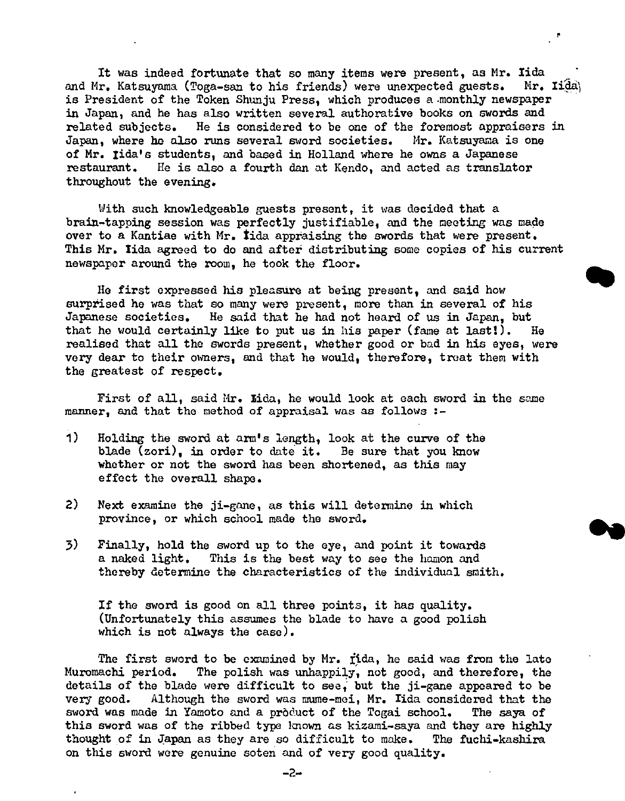It was indeed fortunate that so many items were present, as Mr. tida and Mr. Katsuyama (Toga-san to his friends) were unexpected guests. Mr. Iida) is President of the Token Shunju Press, which produces a monthly newspaper in Japan, and he has also written several authorative books on swords and related subjects. He is considered to be one of the foremost appraisers in Japan, where he also runs several sword societies. Mr. Katsuyama is one of Mr. tida's students, and based in Holland where he owns a Japanese He is also a fourth dan at Kendo, and acted as translator throughout the evening.

With such knowledgeable guests present, it was decided that a brain-tapping session was perfectly justifiable, and the meeting was made over to a Kantiae with Mr. Iida appraising the swords that were present. This Mr. tida agreed to do and after distributing some copies of his current newspaper around the room, he took the floor.

**a** 

He first expressed his pleasure at being present, and said how surprised he was that so many were present, more than in several of his Japanese societies. He said that he had not heard of us in Japan, but that he would certainly like to put us in his paper (fame at last!). He realised that all the swords present, whether good or bad in his eyes, were very dear to their owners, and that he would, therefore, treat them with the greatest of respect.

First of all, said Mr. Lida, he would look at each sword in the same manner, and that the method of appraisal was as follows :-

- i) Holding the sword at arm's length, look at the curve of the blade (zori), in order to date it. Be sure that you know whether or not the sword has been shortened, as this may effect the overall shape.
- 2) Next examine the ji-gane, as this will determine in which province, or which school made the sword.
- 3) Finally, hold the sword up to the eye, and point it towards<br>a naked light. This is the best way to see the hamon and This is the best way to see the hamon and thereby determine the characteristics of the individual smith.

If the sword is good on all three points, it has quality. (Unfortunately this assumes the blade to have a good polish which is not always the case).

The first sword to be examined by Mr. fida, he said was from the late Muromachi period. The polish was unhappily, not good, and therefore, the details of the blade were difficult to see, but the ji-gane appeared to be very good. Although the sword was mume-mei, Mr. tida considered that the sword was made in Yamoto and a product of the Togai school. The saya of this sword was of the ribbed type known as kizani-saya and they are highly thought of in Japan as they are so difficult to make. The fuchi-kashira on this sword were genuine soten and of very good quality.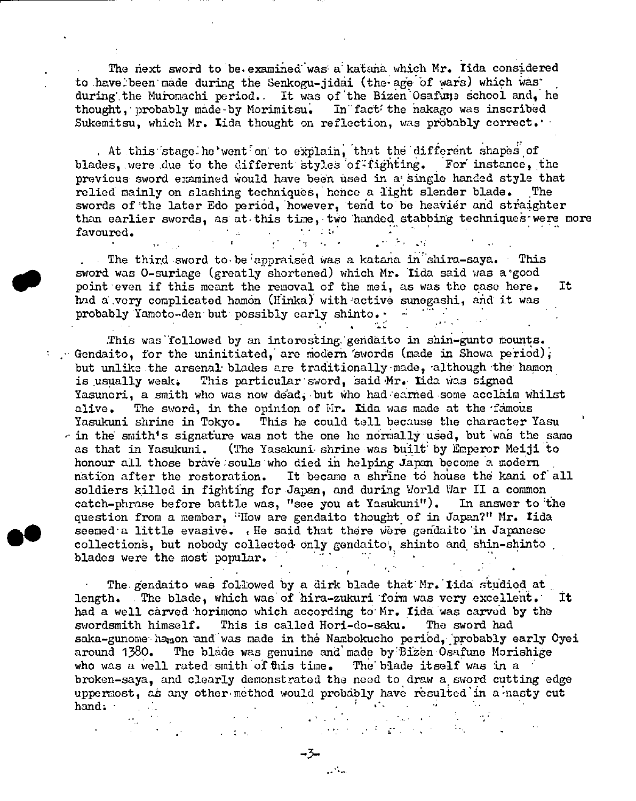The next sword to be, examined was a katana which Mr. Iida considered to have been made during the Senkogu-jidai (the-age of wars) which was during the Muromachi period. It was of the Bizen Osafune school and, he thought, probably made by Morimitsu. In fact the nakago was inscribed Sukemitsu, which Mr. Lida thought on reflection, was probably correct. -

. At this stage he'went on to explain, that the different shapes of blades, were due to the different styles of fighting. For instance, the previous sword examined would have been used in a single handed style that relied mainly on slashing techniques, hence a light slender blade. The swords of the later Edo period, however, tend to be heavier and straighter than earlier swords, as at this time, two handed stabbing techniques were more favoured. - - -

The third sword to be appraised was a katana in shira-saya. This . sword was 0-suriage (greatly shortened) *which* Mr. tida said was a good point even if this meant the removal of the mei, as was the case here. It had a very complicated hamon (Hinka) with active sunegashi, and it was probably Yamoto-den but possibly early shinto.  $-$ 

This was followed by an interesting. gendaito in shin-gunto mounts.  $\cdot$  . Gendaito, for the uninitiated, are modern swords (made in Showa period), but unlike the arsenal blades are traationally-made, *'although -*the hamon is usually weak. This particular sword, said Mr. Lida was signed Yasunori, a smith who was now dead, but who had earned some acclaim whilst alive. The sword, in the opinion of Mr. Lida was made at the famous Yasukuni shrine in Tokyo. This he could tell because the character Yasu  $\cdot$  in the smith's signature was not the one he normally used, but was the same as that in Yasukuni. (The Yasakuni shrine was built by Emperor Meiji to honour all those brave :souls who died in helping Japan become a modern nation after the restoration. It became a shrine to house the kani of all soldiers killed in fighting for Japan, and during World War II a common catch-phrase before battle was, "see you at Yasukuni"). In answer to the question from a member, "How are gendaito thought of in Japan?" Mr. Iida seemed a little evasive. He said that there were gendaito in Japanese collections, but nobody collected- only gendaito, shinto and shin-shinto. blades were the most popular.

 $\bullet$ 

The- endaito was followed by a dirk blade that **Mr.iidá** siidied at length. The blade, which was of hira-zukuri form was very excellent. It had a well carved horimono which according to Mr. Iida was carved by the swordsmith himself. This is called Hori-do-saku. The sword had saka-gunome hamon and was made in the Nambokucho period, probably early Oyei around **1380.** The blade was genuine and made by Bizen Osafune Morishige who was a well rated smith of this time. The blade itself was in a broken-saya, and clearly demonstrated the need to draw a sword cutting edge uppermost, as any other-method would probably have resulted in a nasty cut hand. hand; - . -. .. .

 $\sim 10^4$ しぜいしょ おおいない  $\mathcal{L}^{\pm}$  ,  $\mathcal{L}^{\pm}$  ,  $\mathcal{L}^{\pm}$ 

*-3-* 

للبادي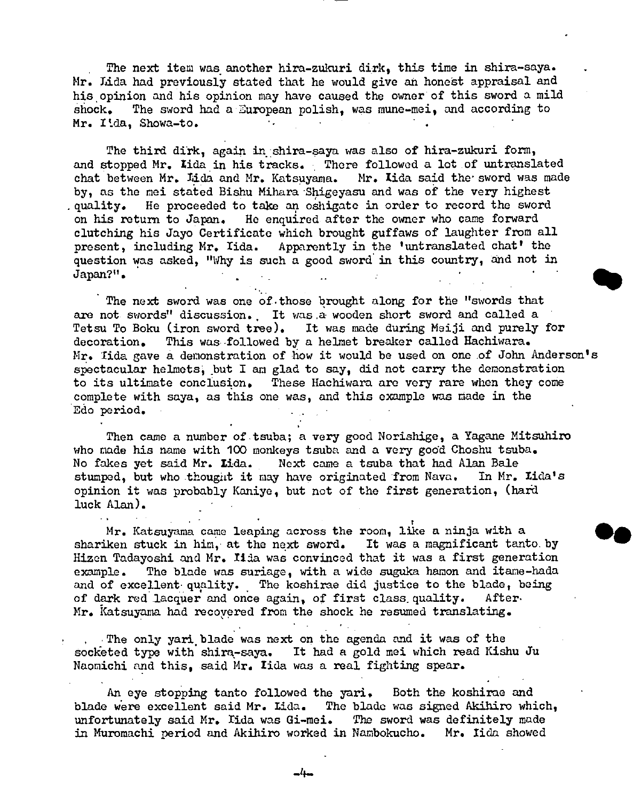The next item was another hira-zukuri dirk, this time in shira-saya. Mr. Lida had previously stated that he would give an honest appraisal and his opinion and his opinion may have caused the owner of this sword a mild shock. The sword had a European polish, was mune-mei, and according to Mr. flda, Showa-to.

The third dirk, again in shira-saya was also of hira-zukuri form, and stopped Mr. Lida in his tracks. There followed a lot of untranslated chat between Mr. tida and Mr. Katsuyama. Mr. lida said the sword was made by, as the mei stated Bishu Mihara Shigeyasu and was of the very highest quality. He proceeded to take an oshigate in order to record the sword on his return to Japan. He enquired after the owner who came forward clutching his Jayo Certificate which brought guffaws of laughter from all present, including Mr. lida. Apparently in the 'untranslated chat' the question was asked, "Why is such a good sword in this country, and not in Japan?". ..

The next sword was one of those brought along for the "swords that are not swords" discussion. It was a wooden short sword and called a Tetsu To Boku (iron sword tree). It was made during Mciiiand purely for decoration. This was .followed by a helmet breaker called Hachiwara. Mr. tida gave a demonstration of •how it would be used on one of John Anderson's spectacular helmets, but I am glad to say, did not carry the demonstration to its ultimate conclusion. These Hachiwara are very rare when they come complete with saya, as this one was, and this example was made in the Edo period.

Then came a number of tsuba; a very good Norishige, a Yagane Mitsuhiro who made his name with 100 monkeys tsuba and a very godd Choshu tsuba. No fakes yet said Mr. **Zida.** Next came a tsuba that had Alan Bale stumped, but who thought it may have originated from Nava. In Mr. Lida's opinion it was probably Kaniye, but not of the first generation, (hard luck Alan).

Hr. Katsuyaraa came leaping across the room, like a ninja with a shariken stuck in him, at the next sword. It was a magnificant tanto. by Hizen Tadayoshi and Mr. flaa was convinced that it was a first generation example. The blade was suriage, with a wide suguka hamon and itame-hada and of excellent quality. The koshirae did justice to the blade, being of dark red lacquer and once again, of first class quality. After. Mr. Katsuyama had recoyred from the shock he resumed translating.

• The only yari blade was next on the agenda and it was of the socketed type with shiro-saya. It had a gold mei which read Kishu Ju Naomichi and this, said Mr. Iida was a real fighting spear.

An eye stopping tanto followed the yari. Both the koshirae and blade were excellent said **Mr.** Lida. The blade was signed Akihiro which, unfortunately said Mr. Iida was Gi-mei. The sword was definitely made in Muromachi period and Akihiro worked in Nambokucho. Mr. jida showed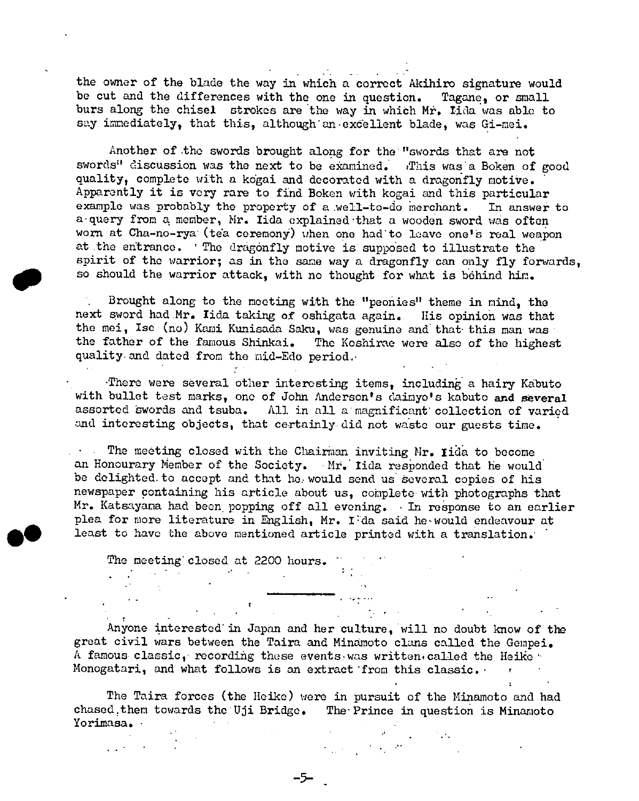the owner of the blade the way in which a correct Akihiro signature would be cut and the differences with the one in question. Tagane, or small burs along the chisel strokes are the way in which Mr. Tida was able to say immediately, that this, although'an.excellent blade, was Gi-mei.

Another of the swords brought along for the "swords that are not swords" discussion was the next to be examined. This was a Boken of good quality, complete with a kogai and decorated with a dragonfly motive. Apparently it is very rare to find Boken with kogai and this particular example was probably the property of a well-to-do merchant. In answer to a query from a member, Mr. Iida explained that a wooden sword was often worn at Cha-no-rya (tea ceremony) when one had to leave one's real weapon at the entrance. The dragonfly motive is supposed to illustrate the spirit of the warrior; as **in** the same way a dragonfly can only fly forwards, so should the warrior attack, with no thought for what is behind him.

Brought along to the meeting with the "peonies" theme in mind, the next sword had Mr. tida taking of oshigata again. His opinion was that the mei, Ise (no) Kami Kunisada Saku, was genuine and that this man was the father of the famous Shinkai. The Koshirne were also of the highest quality and dated from the mid-Edo period.

There were several other interesting items, including a hairy Kabuto with bullet test marks, one of John Anderson's daimyo's kabuto and several assorted swords and tsuba. All in all a magnificant collection of varied and interesting objects, that certainly, did not waste our guests time.

• The meeting closed with the Chairman inviting Mr. Iida to become an Honourary Member of the Society. Mr. Iida responded that he would be delighted to accept and that he would send us several copies of his newspaper containing his article about us, complete with photographs that Mr. Katsayana had been popping off all evening. In response to an earlier plea for more literature in English, Mr. I'da said he would endeavour at least to have the above mentioned article printed with a translation.

The meeting' closed at 2200 hours.  $\sim$  $\mathcal{L}^{\mathcal{A}}(\mathcal{A})$  and the set of the set of the set of the set of the set of the set of the set of the set of the set of the set of the set of the set of the set of the set of the set of the set of the set of the set

 $\langle \psi \rangle$  .

Anyone interested in Japan and her culture, will no doubt know of the great civil wars between the Taira and Minamoto clans called the Gempei. A famous classic, recording these events was written, called the Heike Monogatari, and what follows is an extract from this classic.

The Thira forces (the Heike) were in pursuit of the Minamoto and had chased.them towards the Uji Bridge. The Prince in question is Minamoto Yorimasa.

 $\label{eq:2} \mathcal{L}_{\text{max}} = \mathcal{L}_{\text{max}} + \mathcal{L}_{\text{max}} + \mathcal{L}_{\text{max}}$ 

-5--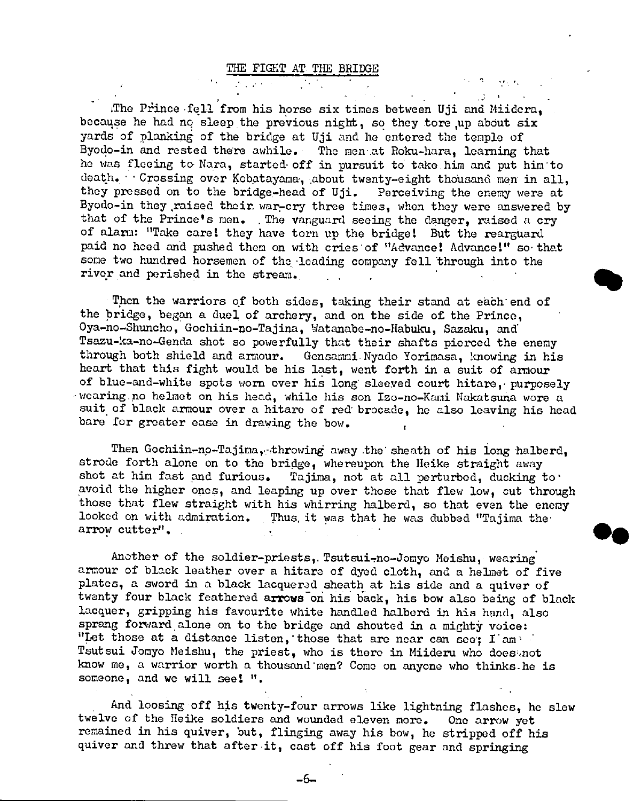The Prince fell from his horse six times between Uji and Miidera, because he had no sleep the previous night, so they tore ,up about **six**  yards of planking of the bridge at Uji and he entered the temple of Byodo-in and rested there awhile. The menat Roku-hara, learning that he was fleeing to Nan, started off in pursuit to take.him and put him to death. Crossing over Kobatayana, about twenty-eight thousand men in all, they pressed on to the bridge-head of Uji. Perceiving the enemy were at Byodo-in they raised their. war-cry three times, when they were answered by that of the Prince's men. The vanguard seeing the danger, raised a cry of alarm: "Take care! they have torn up the bridge! But the rearguard paid no heed and pushed them on with cries of "Advance! Advance!" so that some two hundred horsemen of the leading company fell through into the river and perished in the stream.

Then the warriors of both sides, taking their stand at eàöh end of the bridge, began a duel of archery, and on the side of the Prince, Oya-no-Shuncho, Gochiin-no-Tajina, Watanabe-no-Habuku, Sazaku, and Tsazu-ka-no-Genda shot so powerfully that their shafts pierced the enemy through both shield and armour. Gensammi. Nyado Yorimasa, knowing in his heart that this fight would be his last, went forth in a suit of amour of blue-and-white spots worn over his long sleeved court hitare, purposely - wearing no helmet on his head, while his son Izo-no-Kami Nakatsuna wore a suit of black amour over a hitare of red brocade, he also leaving his head bare for greater ease in drawing the bow.

Then Gochiin-no-Tajima, throwing away the sheath of his long halberd, strode forth alone on to the bridge, whereupon the Heike straight away shot at him fast and furious. Tajima, not at all perturbed, ducking to' avoid the higher ones, and leaping up over those that flew low, cut through those that flew straight with his whirring halberd, so that even the enemy looked on with admiration. Thus, it was that he was dubbed "Tajima the arrow cutter".

Another of the soldier-priests, Tsutsui-no-Jomyo Meishu, wearing armour of black leather over a hitara of dyed cloth, and a helmet of five plates, a sword in a black lacquered sheath at his side and a quiver of twenty four black feathered **arrows** on his back, his bow also being of black lacquer, gripping his favourite white handled halberd in his hand, also sprang forward alone on to the bridge and shouted in a mighty voice: "Let those at a distance listen, those that are near can see; I am Tsutsui Jomyo Meishu, the priest, who is there in Miideru who does not know me, a warrior worth a thousand men? Come on anyone who thinks he is someone, and we will see! ".

And loosing off his twenty-four arrows like lightning flashes, he slew twelve of the Heike soldiers and wounded eleven more. One arrow yet remained in his quiver, but, flinging away his bow, he stripped off his quiver and threw that after it, cast off his foot gear and springing

 $-6-$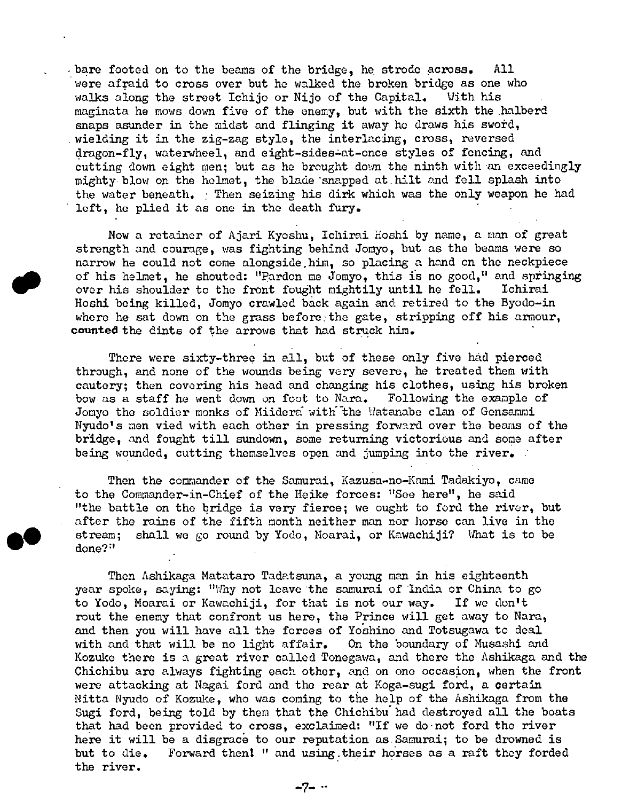bare footed on to the beams of the bridge, he strode across. All were afraid to cross over but he walked the broken bridge as one who walks along the street Ichijo or Nijo of the Capital. With his maginata he mows down five of the enemy, but with the sixth the .halberd snaps asunder in the midst and flinging it away ho draws his sword, wielding it in the zig-zag style, the interlacing, cross, reversed dragon-fly, waterwheel, and eight-sides-at-once styles of fencing, and cutting down eight men; but as he brought down the ninth with an exceedingly mighty blow on the helmet, the blade snapped at hilt and fell splash into the water beneath. Then seizing his dirk which was the only weapon he had left, he plied it as one **in** the death fury.

Now a retainer of Ajari Kyoshu, Ichirai Hoshi by name, a man of great strength and courage, was fighting behind Jomyo, but as the beams were so narrow he could not come alongside.him, so placing a hand on the neckpiece strength and courage, was fighting behind Jomyo, but as the beams were so<br>narrow he could not come alongside him, so placing a hand on the neckpiece<br>of his helmet, he shouted: "Pardon me Jomyo, this is no good," and spring over his shoulder to the front fought mightily until he fell. Ichirai Hoshi being killed, Jomyo crawled back again and retired to the Byodo-in where he sat down on the grass before: the gate, stripping off his amour, **counted** the dints of the arrows that had struck him.

> There were sixty-three in all, but of these only five had pierced through, and none of the wounds being very severe, he treated them with cautery; then covering his head and changing his clothes, using his broken bow as a staff he went down on foot to Nara. Following the example of Jomyo the soldier monks of Miidera with the Watanabe clan of Gonsammi Nyudo' s men vied with each other in pressing forward over the beans of the bridge, and fought till sundown, some returning victorious and some after being wounded, cutting themselves open and jumping into the river.

Then the commander of the Samurai, Kazusa-no-Kami Tadakiyo, came to the Commander-in-Chief of the Heike forces: "See here", he said "the battle on the bridge is very fierce; we ought to ford the river, but after the rains of the fifth month neither man nor horse can live in the stream; shall we go round by Yodo, Moarai, or Kawachiji? What is to be done after the rains of the fifth month neither man nor horse can live in the

> Then Ashikaga Matataro Tadatsuna, a young man in his eighteenth year spoke, saying: "Why not leave the samurai of India or China to go to Yodo, Moarai or Kawachiji, for that is not our way. If we don't rout the enemy that confront us here, the Prince will get away to Nara, and then you will have all the forces of Yoshino and Totsugawa to deal with and that will be no light affair. On the boundary of Musashi and Kozuke there is a great river called Tonegawa, and there the Ashikaga and the Chichibu are always fighting each other, and on one occasion, when the front were attacking at Nagai ford and the rear at Koga-sugi ford, a certain Nitta Nyudo of Kozuke, who was coming to the help of the Ashikaga from the Sugi ford, being told by them that the Chichibu had destroyed all the boats that had been provided to cross, exclaimed: "If we do-not ford the river here it will be a disgrace to our reputation as-Samurai; to be drowned is but to die. Forward then! " and using their horses as a raft they forded the river.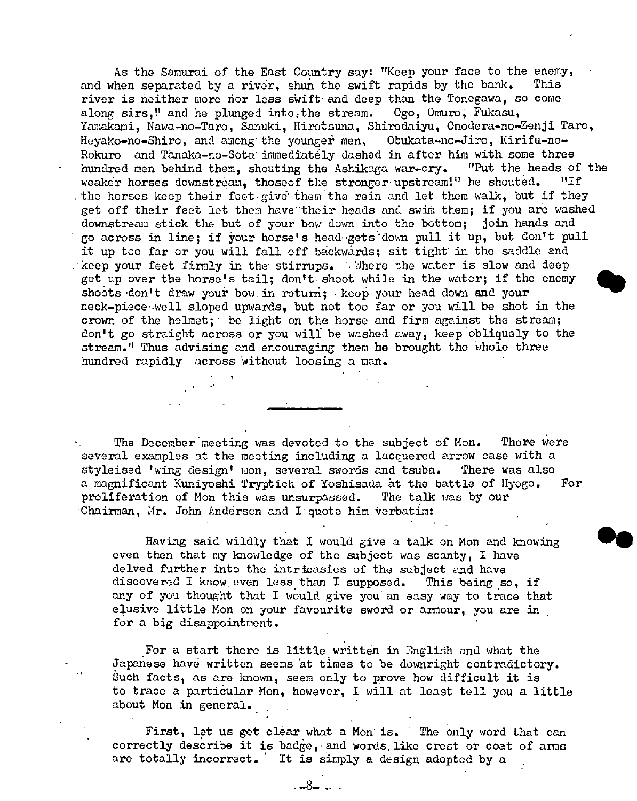As the Samurai of the East Country say: "Keep your face to the enemy,<br>hen separated by a river, shun the swift rapids by the bank. This and when separated by a river, shun the swift rapids by the bank. river is neither more nor less Sift and deep than the Tonegawa, so come along sirs," and he plunged into, the stream. Ogo, Omuro, Fukasu, Yamakami, Nawa-no-Taro, Sanuki, Hirotsuna, Shirodaiyu, Onodera-no-Zenji Taro, Heyako-no-Shiro, and among the younger men, Obukata-no-Jiro, Kirifu-no-Rokuro and Tànaka-no-Sota immediately dashed in after him with some three hundred men behind them, shouting the Ashikaga war-cry. "Put the heads of the weaker horses downstream. those of the stronger upstream!" he shouted. "If weaker horses downstream, those of the stronger upstream!" he shouted. the horses keep their feet give them the rein and let them walk, but if they get off their feet let them have 'their heads and swim them; if you are washed downstream stick the but of your bow down into the bottom; join hands and go across in line; if your horse's headgets'down pull it up, but don't pull it up too far or you will fall off backwards; sit tight in the saddle and keep your feet fimly in the' stirrups. Where the water is slow and deep getup over the horse's tail; don't. shoot while in the water; if the enemy shoots don't draw your bow in return: keep your head down and your neck-piece.well sloped upwards, but not too far or you will be shot in the crown of the helmet; be light on the horse and firm against the stream; don't go straight across or you will be washed away, keep obliquely to the stream." Thus advising and encouraging them he brought the whole three hundred rapidly across without loosing a man.

The December meeting was devoted to the subject of Mon. There were several examples at the meeting including a lacquered arrow case with a styleised 'wing design' mon, several swords and tsuba. There was also a magnificant Kuniyoshi Tryptich of Yoshisada at the battle of Hyogo. For proliferation of Mon this was unsurpassed. The talk was by our Chairman, Mr. John Anderson and I quote him verbatim:

Having said wildly that I would give a talk on Mon and knowing even then that my knowledge of the subject was scanty, I have delved further into the intricasies of the subject and have discovered I know oven loss than I supposed. This being so, if any of you thought that I would give you an easy way to trace that elusive little Mon on your favourite sword or amour, you are in for a big disappointment.

For a start there is little written in English and what the Japanese have written seems at times to be downright contradictory. Such facts, as are known, seem only to prove how difficult it is to trace a particular Non, however, I will at least tell you a little about Mon in general.

First, let us get clear what a Mon **is.** The only word that can correctly describe it is badge, and words, like crest or coat of ams are totally incorrect. It is simply a design adopted by a

-8-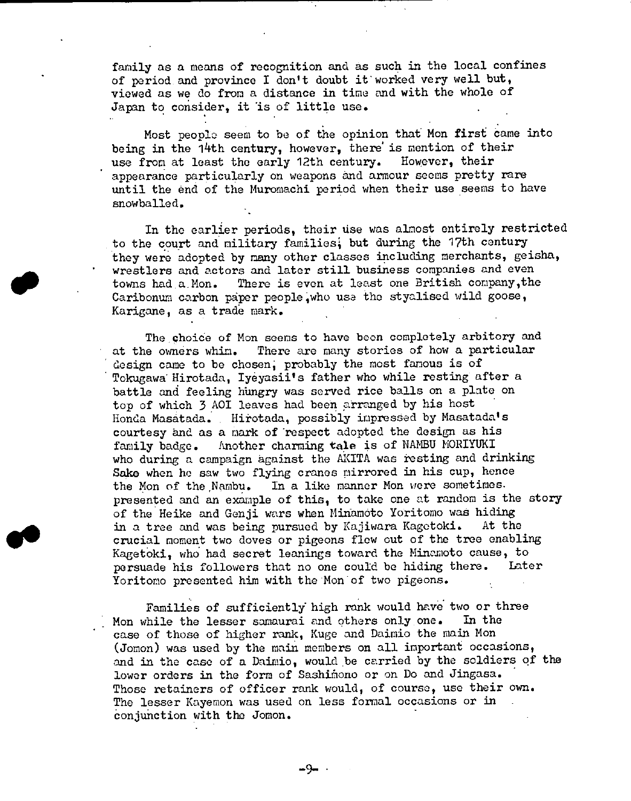family as a means of recognition and as such in the local confines of period and province I don't doubt it worked very well but, viewed as we do from a distance in time and with the whole of Japan to consider, it **'is** of little use.

Most people seem to be of the opinion that Mon first came into being in the 14th century, however, there is mention of their use from at least the early 12th century. However, their appearance particularly on weapons and armour seems pretty rare until the end of the Muromachi period when their use seems to have snowballed.

In the earlier periods, their use was almost entirely restricted to the court and military families; but during the 17th century they were adopted by many other classes including merchants, geisha, to the court and military families, but during the 17th century<br>they were adopted by many other classes including merchants, geis<br>wrestlers and actors and later still business companies and even<br>towns had a Mon. There is e towns had a Mon. There is even at least one British company,the Caribonum carbon paper people ;who usa the styalised wild goose, Karigane, as a trade mark.

> The choice of Mon seems to have been completely arbitory and at the owners whim. There are many stories of how a particular design came to be chosen; probably the most famous is of Tckugawa Hirotada, Iyéyasii's father who while resting after a battle and feeling hungry was served rice balls on a plate on top of which 3 AOl leaves had been arranged by his host Honda Masátada. Hirotada, possibly impressed by Masatada's courtesy and as a mark of 'respect adopted the design as his family badge. Another charming **tale is** of NA18U MORIYUKI who during a campaign against the AKITA was resting and drinking Sake when he saw two flying cranes mirrored in his cup, hence the Mon of the Narabu. In a like manner Mon were sometimes. presented and an example of this, to take one at random is the story of the Heike and Genji wars when Miriamoto Yoritomo was hiding in a tree and was being pursued by Kajiwara Kagotoki. At the crucial moment two doves or pigeons flow out of the tree enabling Kagetoki, who had secret leanings toward the Minamoto cause, to persuade his followers that no one could be hiding there. Inter Yoritomo presented him with the Mon of two pigeons.

 $\bullet$ 

Families of sufficientlj high rank would have two or three Mon while the lesser samaurai and pthers only one. In the case of those of higher rank, Kuge and Daimio the main Mon (Jomon) was used by the main members on all important occasions, and in the case of a Daimio, would be carried by the soldiers of the lower orders in the form of Sashiñono or on Do and Jingasa. Those retainers of officer rank would, of course, use their own. The lesser Kayemon was used on less formal occasions or in conjunction with the Jomon.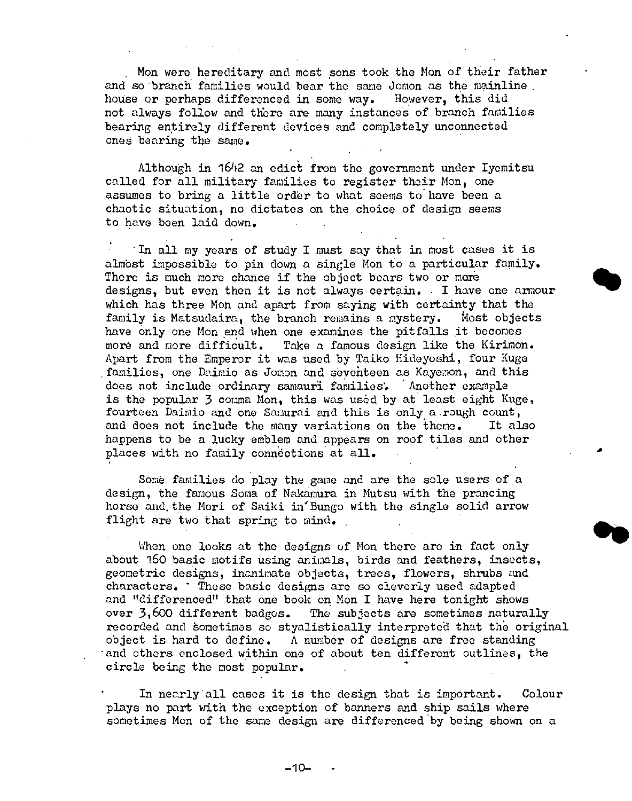Mon were hereditary and most sons took the Mon of their father and so branch families would bear the same Jomon as the mainline house or perhaps differenced in some way. However, this did not always follow and there are many instances of branch families bearing entirely different devices and completely unconnected ones bearing the same.

Although in 1642 an edict from the government under Iyemitsu called for all military families to register their Mon, one assumes to bring a little order to what seems to have been a chaotic situation, no dictates on the choice of design seems to have been laid down.

In all my years of study I must say that in most cases it is almost impossible to pin down a single Mon to a particular family. There is much more chance if the object bears two or more designs, but even then it is not always certain. I have one amour which has three Mon and apart from saying with certainty that the family is Matsudaira, the branch remains a mystery. Most objects have only one Mon and when one examines the pitfalls it becomes more and more difficult. Take a famous design like the Kirimon. Apart from the Emperor it was used by Taiko Hideyoshi, four Kuge families, one Daimio as Jomon and seventeen as Kayemon, and this does not include ordinary samauri families. Another example is the popular  $\overline{3}$  comma Mon, this was used by at least eight Kuge, fourteen Daimio and one Samurai and this is only a.rough count, and does not include the many variations on the theme. It also happens to be a lucky emblem and appears on roof tiles and other places with no family connections at all.

Some families do play the game and are the sole users of a design, the famous Soma of Nakamura in Mutsu with the prancing horse and the Mori of Saiki in' Bungo with the single solid arrow flight are two that spring to mind.

When one looks at the designs of Mon there are in fact only about 160 basic motifs using animals, birds and feathers, insects, geometric designs, inanimate objects, trees, flowers, shrubs and characters. These basic designs are so cleverly used adapted and "differenced" that one book on Mon I have here tonight shows over 3,600 different badges. The subjects are sometimes natural The subjects are sometimes naturally recorded and sometimes so styalistically interpreted that the original object is hard to define. A number of designs are free standing and others enclosed within one of about ten different outlines, the circle being the most popular.

In nearly all cases it is the design that is important. Colour plays no part with the exception of banners and ship sails where sometimes Mon of the same design are differenced by being shown on a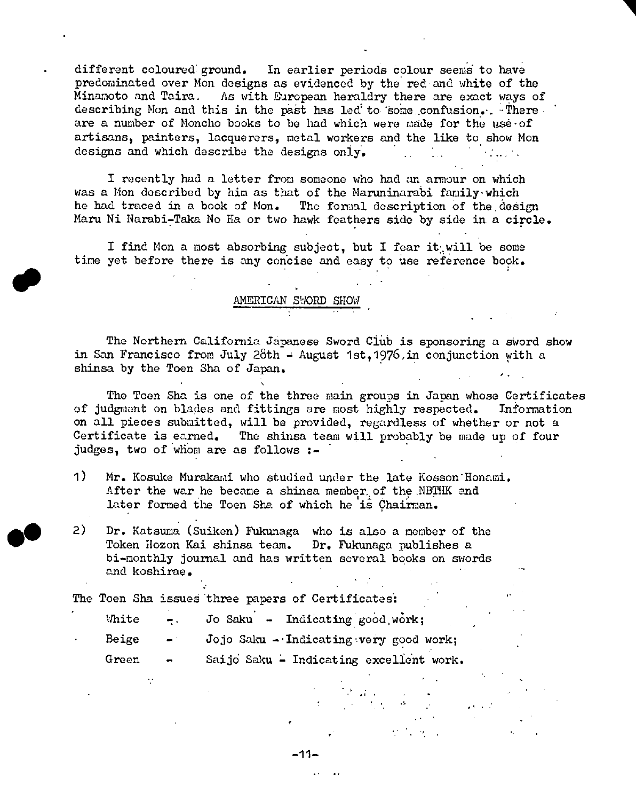different coloured ground. In earlier periods oolour seems to have predominated over Mon designs as evidenced by the red and white of the Minamoto and Taira. As with European heraldry there are exact ways of describing Mon and this in the past has led to some confusion. There are a number of Moncho books to be had which were made for the use of artisans, painters, lacquerers, metal workers and the like to show Mon designs and which describe the designs only.

I recently had a letter from someone who had an amour on which was a Mon described by him as that of the Maruninarabi family- which he had traced in a book of Mon. The fomal description of the.design Maru Ni Narabi-Taka No Ha or two hawk feathers side by side in a circle.

I find Mon a most absorbing subject, but I fear it will be some time yet before there is any concise and easy to use reference book.

## AMERICAN SWORD SHOW

The Northern California Japanese Sword Club is sponsoring a sword show in San Francisco from July  $28th$  - August 1st, 1976, in conjunction with a shinsa by the Toen Sha of Japan.

The Toen Sha is one of the three main groups in Japan whose Certificates of judguant on blades and fittings are most highly respected. Information on all pieces submitted, will be provided, regardless of whether or not a Certificate is earned. The shinsa team will probably be made up of four judges, two of whom are as follows :-

- 1) Mr. Kosuke Murakami who studied under the late Kosson Honami. After the war he became a shinsa member of the NBTHK and later formed the Toen Sha of which he **'is** Chairman.
- 2) Dr. Katsuma (Suiken) Fukunaga who is also a member of the Token ilozon Kai shinsa team. Dr. Fukunaga publishes a bi-monthly journal and has written several books on swords and koshirae.

The Toen Sha issues three papers of Certificates:

| White | $\blacksquare$ . | Jo Saku - Indicating good work;         |
|-------|------------------|-----------------------------------------|
| Beige | <b>Section</b>   | Jojo Saku - Indicating very good work;  |
| Green | $\blacksquare$   | Saijo Saku - Indicating excellent work. |

 $-11-$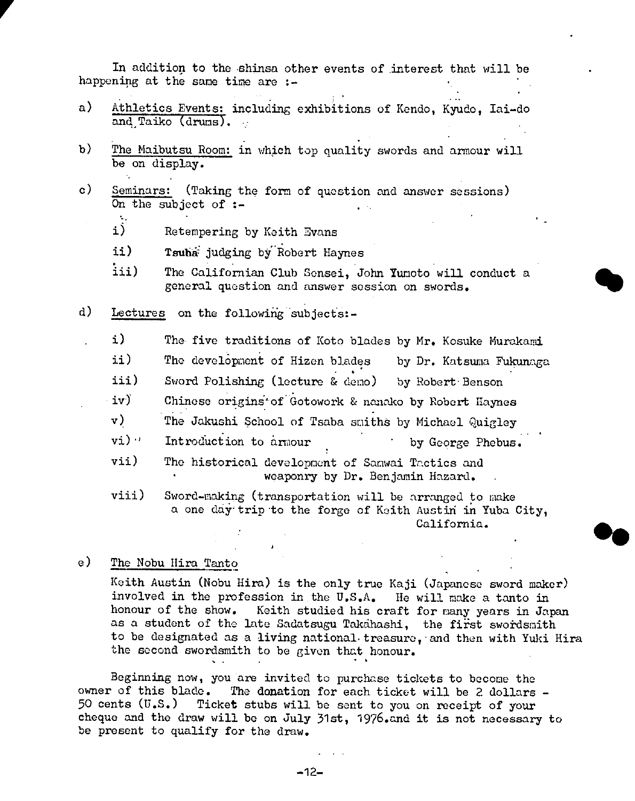In addition to the shinsa other events of interest that will be happening at the same time are  $:-$ 

- a) Athletics Events: including exhibitions of Kendo, Kyudo, Iai-do and Taiko (drums).
- b) The Maibutsu Room: in which top quality swords and armour will be on display.
- c) Seminars: (Taking the form of question and answer sessions) On the subject of
	- i) Retempering by Keith Evans
	- ii) Tsuha judging by Robert Haynes
	- iii) The Californian Club Sonsei, John Tunoto will conduct a general question and answer session on swords.
- d) Lectures on the following subjects:
	- i) The five traditions of Koto blades by Mr. Kosuke Murakami
	- ii) The development of Hizon blades by Dr. Katsuma Fukunaga
	- iii) Sword Polishing (lecture & deno) by Robert Benson
	- iv) Chinese origins of Gotowork & nanako by Robert Haynes
	- v) The Jakushi School of Tsaba smiths by Michael Quigley
	- vi) Introduction to armour<br>by George Phebus.
	- vii) The historical development of Samwai Tactics and weaponry by Dr. Benjamin Hazard.
	- viii) Sword-making (transportation will be arranged to make a one day trip to the forge of Keith Austin in Yuba City, California.

## e) The Nobu Hira Tanto

 $\mathcal{L}_{\mathrm{max}}$ 

**V** 

Keith Austin (Nobu Hira) is the only true Kaji (Japanese sword maker) involved in the profession in the U.S.A. He will make a tanto in honour of the show. Keith studied his craft for many years in Japan as a student of the late Sadatsugu Takahashi, the first swordsmith to be designated as a living national. treasure, and then with Yuki Hira the second swordsmith to be given that honour.

Begirming now, you are invited to purchase tickets to become the owner of this blade. The donation for each ticket will be 2 dollars - 50 cents (U.S.) Ticket stubs will be sent to you on receipt of your cheque and the draw will be on July 31st, 1976.and it is not necessary to be present to qualify for the draw.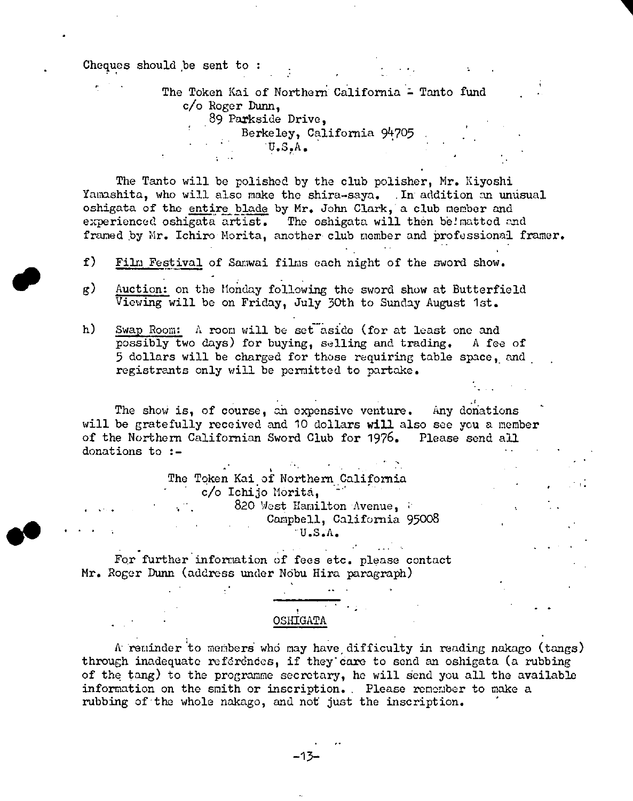Cheques should be sent to

The Token Kai of Northern California - Tanto fund 0/0 Roger Dunn, 89 Parkside Drive,

1

Berkeley, California 94705 U.S.A.

The Tanto will be polished by the club polisher, Mr. Kiyoshi Yamashita, who will also make the shira-saya. In addition an unusual oshigata of the entire blade by Mr. John Clark, a club member and experienced oshigata artist. The oshigata will then be!matted and framed by Mr. Ichiro Morita, another club member and professional framer.

f) Film Festival of Samwai films each night of the sword show.

g) Auction: on the Monday following the sword show at Butterfield Viewing will be on Friday, July 30th to Sunday August 1st.

h) Swap Room: A room will be set aside (for at least one and possibly two days) for buying, selling and trading. A fee of 5 dollars will be charged for those requiring table space, and registrants only will be permitted to partake.

The show is, of course, an expensive venture. Any donations will be gratefully received and 10 dollars will also see you a member of the Northern Californian Sword Club for 1976. Please send all donations to

> The Token Kai of Northern California c/o Ichijo Moritá, • 820 West Hamilton Avenue, Campbell, California 95008 U.S.A.

For further information of fees etc. please contact Mr. Roger Dunn (address under Nobu Hira paragraph)

# OSHIGATA

A reminder to members who may have difficulty in reading nakago (tangs) through inadequate references, if they care to send an oshigata (a rubbing of the tang) to the programme secretary, he will send you all the available information on the smith or inscription. Please remonber to make a rubbing of the whole nakago, and not just the inscription.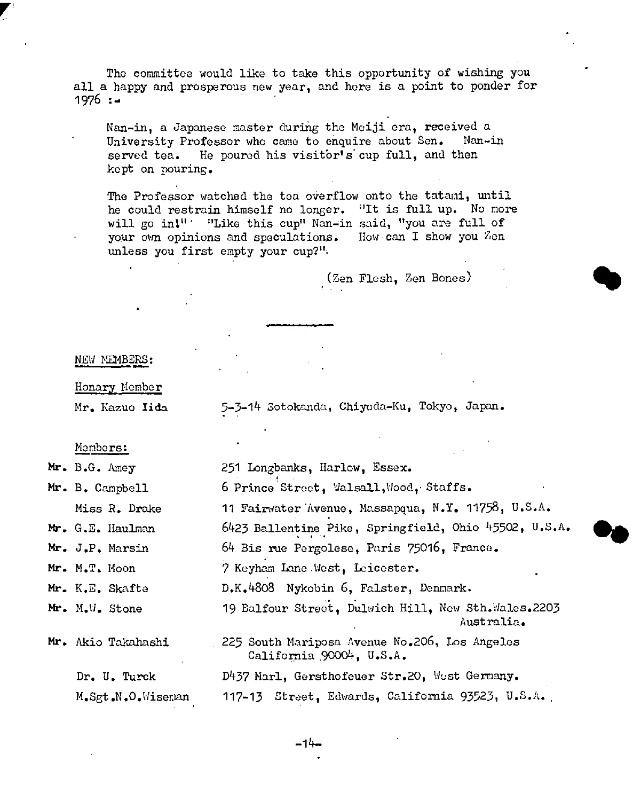The committee would like to take this opportunity of wishing you all a happy and prosperous new year, and here is a point to ponder for  $1976 : -$ 

Nan-in, a Japanese master during the Meiji era, received a University Professor who came to enquire about Sen. Nan-in served tea. He poured his visitor's cup full, and then kept on pouring.

The Professor watched the tea overflow onto the tatami, until he could restrain himself no longer. "It is full up. No more will go in!" "Like this cup" Nan-in said, "you are full of your own opinions and speculations. How can I show you Zen unless you first empty your cup?"

(Zen Flesh, Zen Bones)

### NEW MEMBERS:

Honary Member

Mr. Kazuo Iida 5-3-14 Sotokanda, Chiyoda-Ku, Tokyo, Japan.

#### Members:

| Mr. B.G. Amey      | 251 Longbanks, Harlow, Essex.                                             |
|--------------------|---------------------------------------------------------------------------|
| Mr. B. Campbell    | 6 Prince Street, Walsall, Wood, Staffs.                                   |
| Miss R. Drake      | 11 Fairwater Avenue, Massapqua, N.Y. 11758, U.S.A.                        |
| Mr. G.E. Haulman   | 6423 Ballentine Pike, Springfield, Ohio 45502, U.S.A.                     |
| Mr. J.P. Marsin    | 64 Bis rue Pergolese, Paris 75016, France.                                |
| Mr. M.T. Moon      | 7 Keyham Lane West, Leicester.                                            |
| Mr. K.E. Skafte    | D.K.4808 Nykobin 6, Falster, Denmark.                                     |
| Mr. M.W. Stone     | 19 Balfour Street, Dulwich Hill, New Sth.Wales.2203<br>Australia.         |
| Mr. Akio Takahashi | 225 South Mariposa Avenue No.206, Los Angeles<br>California 90004, U.S.A. |
| Dr. U. Turck       | D437 Marl, Gersthofeuer Str.20, West Germany.                             |
| M.Sgt.N.O.Wiseman  | 117-13 Street, Edwards, California 93523, U.S.A.                          |

 $-14-$